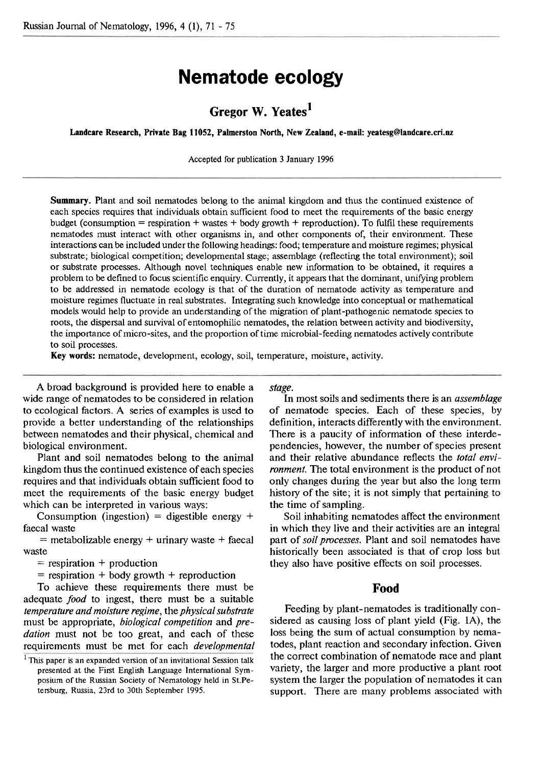# **Nematode ecology**

# **Gregor W. Yeates<sup>1</sup>**

Landcare Research, Private Bag 11052, Palmerston North, New Zealand, e-mail: yeatesg@landcare.cri.nz

Accepted for publication 3 January 1996

**Summary.** Plant and soil nematodes belong to the animal kingdom and thus the continued existence of each species requires that individuals obtain sufficient food to meet the requirements of the basic energy budget (consumption = respiration + wastes + body growth + reproduction). To fulfil these requirements nematodes must interact with other organisms in, and other components of, their environment. These interactions can be included under the following headings: food; temperature and moisture regimes; physical substrate; biological competition; developmental stage; assemblage (reflecting the total environment); soil or substrate processes. Although novel techniques enable new information to be obtained, it requires a problem to be defined to focus scientific enquiry. Currently, it appears that the dominant, unifying problem to be addressed in nematode ecology is that of the duration of nematode activity as temperature and moisture regimes fluctuate in real substrates. Integrating such knowledge into conceptual or mathematical models would help to provide an understanding of the migration of plant-pathogenic nematode species to roots, the dispersal and survival of entomophilic nematodes, the relation between activity and biodiversity, the importance of micro-sites, and the proportion of time microbial-feeding nematodes actively contribute to soil processes.

**Key words:** nematode, development, ecology, soil, temperature, moisture, activity.

A broad background is provided here to enable a wide range of nematodes to be considered in relation to ecological factors. A series of examples is used to provide a better understanding of the relationships between nematodes and their physical, chemical and biological environment.

Plant and soil nematodes belong to the animal kingdom thus the continued existence of each species requires and that individuals obtain sufficient food to meet the requirements of the basic energy budget which can be interpreted in various ways:

Consumption (ingestion) = digestible energy  $+$ faecal waste

 $=$  metabolizable energy  $+$  urinary waste  $+$  faecal waste

 $=$  respiration  $+$  production

 $=$  respiration  $+$  body growth  $+$  reproduction

To achieve these requirements there must be adequate *food* to ingest, there must be a suitable *temperature and moisture regime,* the *physical substrate*  must be appropriate, *biological competition* and *predation* must not be too great, and each of these requirements must be met for each *developmental*  *stage.* 

**Ln** most soils and sediments there is an *assemblage*  of nematode species. Each of these species, by definition, interacts differently with the environment. There is a paucity of information of these interdependencies, however, the number of species present and their relative abundance reflects the *total environment.* The total environment is the product of not only changes during the year but also the long term history of the site; it is not simply that pertaining to the time of sampling.

Soil inhabiting nematodes affect the environment **in** which they live and their activities are an integral part of *soil processes.* Plant and soil nematodes have historically been associated is that of crop loss but they also have positive effects on soil processes.

#### **Food**

Feeding by plant-nematodes is traditionally considered as causing loss of plant yield (Fig. **lA),** the loss being the sum of actual consumption by nematodes, plant reaction and secondary infection. Given the correct combination of nematode race and plant variety, the larger and more productive a plant root system the larger the population of nematodes it can support. There are many problems associated with

 $<sup>1</sup>$  This paper is an expanded version of an invitational Session talk</sup> presented at the First English Language International Symposium of the Russian Society of Nematology held in St.Petersburg, Russia, 23rd to 30th September 1995.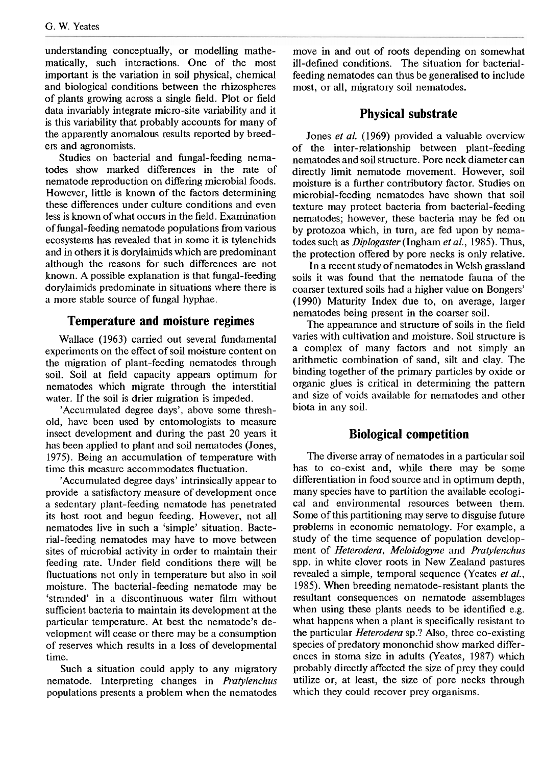understanding conceptually, or modelling mathematically, such interactions. One of the most important is the variation in soil physical, chemical and biological conditions between the rhizospheres of plants growing across a single field. Plot or field data invariably integrate micro-site variability and it is this variability that probably accounts for many of the apparently anomalous results reported by breeders and agronomists.

Studies on bacterial and fungal-feeding nematodes show marked differences in the rate of nematode reproduction on differing microbial foods. However, little is known of the factors determining these differences under culture conditions and even less is known ofwhat occurs in the field. Examination of fungal-feeding nematode populations from various ecosystems has revealed that in some it is tylenchids and in others it is dorylaimids which are predominant although the reasons for such differences are not known. A possible explanation is that fungal-feeding dorylaimids predominate in situations where there is a more stable source of fungal hyphae.

#### **Temperature and moisture regimes**

Wallace (1963) carried out several fundamental experiments on the effect of soil moisture content on the migration of plant-feeding nematodes through soil. Soil at field capacity appears optimum for nematodes which migrate through the interstitial water. If the soil is drier migration is impeded.

'Accumulated degree days', above some threshold, have been used by entomologists to measure insect development and during the past 20 years it has been applied to plant and soil nematodes (Jones, 1975). Being an accumulation of temperature with time this measure accommodates fluctuation.

'Accumulated degree days' intrinsically appear to provide a satisfactory measure of development once a sedentary plant-feeding nematode has penetrated its host root and begun feeding. However, not all nematodes live in such a 'simple' situation. Bacterial-feeding nematodes may have to move between sites of microbial activity in order to maintain their feeding rate. Under field conditions there will be fluctuations not only in temperature but also in soil moisture. The bacterial-feeding nematode may be 'stranded' in a discontinuous water film without sufficient bacteria to maintain its development at the particular temperature. At best the nematode's development will cease or there may be a consumption of reserves which results in a loss of developmental time.

Such a situation could apply to any migratory nematode. Interpreting changes in *Pratylenchus*  populations presents a problem when the nematodes

move in and out of roots depending on somewhat ill-defmed conditions. The situation for bacterialfeeding nematodes can thus be generalised to include most, or all, migratory soil nematodes.

### **Physical substrate**

Jones *et al.* (1969) provided a valuable overview of the inter-relationship between plant-feeding nematodes and soil structure. Pore neck diameter can directly limit nematode movement. However, soil moisture is a further contributory factor. Studies on microbial-feeding nematodes have shown that soil texture may protect bacteria from bacterial-feeding nematodes; however, these bacteria may be fed on by protozoa which, in turn, are fed upon by nematodes such as *Diplogaster* (Ingharn *et al.,* 1985). Thus, the protection offered by pore necks is only relative.

In a recent study of nematodes in Welsh grassland soils it was found that the nematode fauna of the coarser textured soils had a higher value on Bongers' (1990) Maturity Index due to, on average, larger nematodes being present in the coarser soil.

The appearance and structure of soils in the field varies with cultivation and moisture. Soil structure is a complex of many factors and not simply an arithmetic combination of sand, silt and clay. The binding together of the primary particles by oxide or organic glues is critical in determining the pattern and size of voids available for nematodes and other biota in any soil.

### **Biological competition**

The diverse array of nematodes in a particular soil has to co-exist and, while there may be some differentiation in food source and in optimum depth, many species have to partition the available ecological and environmental resources between them. Some of this partitioning may serve to disguise future problems in economic nematology. For example, a study of the time sequence of population development of *Heterodera, Meloidogyne* and *Pratylenchus*  spp. in white clover roots in New Zealand pastures revealed a simple, temporal sequence (Yeates *et al.,*  1985). When breeding nematode-resistant plants the resultant consequences on nematode assemblages when using these plants needs to be identified e.g. what happens when a plant is specifically resistant to the particular *Heterodera* sp.? Also, three co-existing species of predatory mononchid show marked differences in stoma size in adults (Yeates, 1987) which probably directly affected the size of prey they could utilize or, at least, the size of pore necks through which they could recover prey organisms.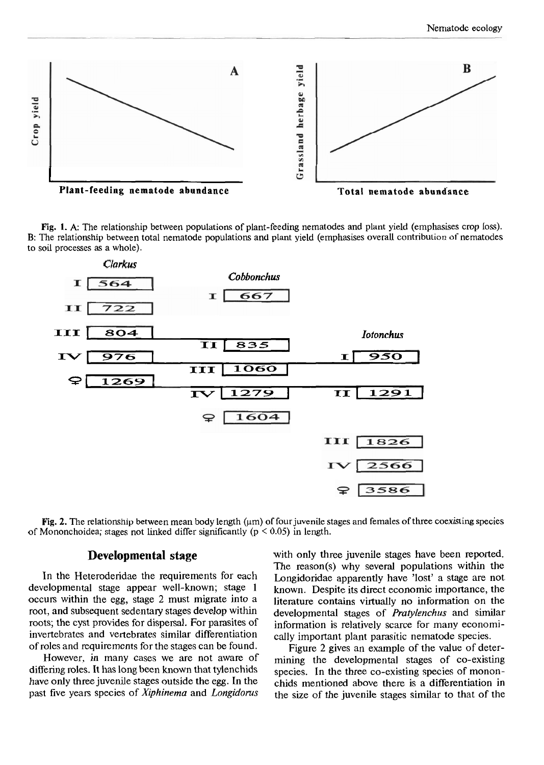

**Fig.** 1. **A:** The relationship between populations of plant-feeding nematodes and plant yield (emphasises crop loss). B: The relationship between total nematode populations and plant yield (emphasises overall contribution of nematodes to soil processes as a whole).



**Fig. 2.** The relationship between mean body length ( $\mu$ m) of four juvenile stages and females of three coexisting species of Mononchoidea; stages not linked differ significantly ( $p \le 0.05$ ) in length.

# **Developmental stage**

In the Heteroderidae the requirements for each developmental stage appear well-known; stage 1 occurs within the egg, stage 2 must migrate into a root, and subsequent sedentary stages develop within roots; the cyst provides for dispersal. For parasites of invertebrates and vertebrates similar differentiation of roles and requirements for the stages can be found.

However, in many cases we are not aware of differing roles. It has long been known that tylenchids have only three juvenile stages outside the egg. In the past five years species of *Xiphinema* and *Longidoms*  with only three juvenile stages have been reported. The reason(s) why several populations within the Longidoridae apparently have 'lost' a stage are not known. Despite its direct economic importance, the literature contains virtually no information on the developmental stages of *Pratylenchus* and similar information is relatively scarce for many economically important plant parasitic nematode species.

Figure 2 gives an example of the value of determining the developmental stages of co-existing species. In the three co-existing species of mononchids mentioned above there is a differentiation in the size of the juvenile stages similar to that of the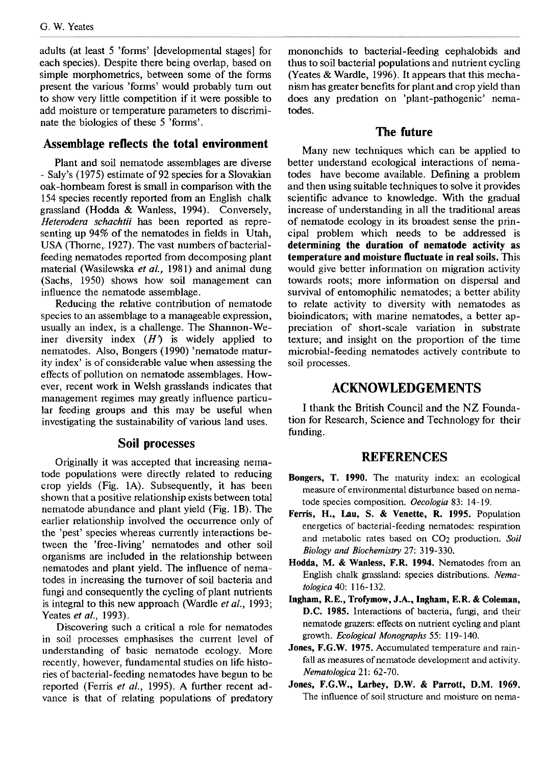adults (at least 5 'forms' [developmental stages] for each species). Despite there being overlap, based on simple morphometrics, between some of the forms present the various 'forms' would probably turn out to show very little competition if it were possible to add moisture or temperature parameters to discriminate the biologies of these 5 'forms'.

# **Assemblage reflects the total environment**

Plant and soil nematode assemblages are diverse - Saly's (1975) estimate of 92 species for a Slovakian oak-hornbeam forest is small in comparison with the 154 species recently reported from an English chalk grassland (Hodda & Wanless, 1994). Conversely, Heterodera schachtii has been reported as representing up 94% of the nematodes in fields in Utah, USA (Thorne, 1927). The vast numbers of bacterialfeeding nematodes reported from decomposing plant material (Wasilewska et al., 1981) and animal dung (Sachs, 1950) shows how soil management can influence the nematode assemblage.

Reducing the relative contribution of nematode species to an assemblage to a manageable expression, usually an index, is a challenge. The Shannon-Weiner diversity index *(H')* is widely applied to nematodes. Also, Bongers (1990) 'nematode maturity index' is of considerable value when assessing the effects of pollution on nematode assemblages. However, recent work in Welsh grasslands indicates that management regimes may greatly influence particular feeding groups and this may be useful when investigating the sustainability of various land uses.

#### **Soil processes**

Originally it was accepted that increasing nematode populations were directly related to reducing crop yields (Fig. 1A). Subsequently, it has been shown that a positive relationship exists between total nematode abundance and plant yield (Fig. 1B). The earlier relationship involved the occurrence only of the 'pest' species whereas currently interactions between the 'free-living' nematodes and other soil organisms are included in the relationship between nematodes and plant yield. The influence of nematodes in increasing the turnover of soil bacteria and fungi and consequently the cycling of plant nutrients is integral to this new approach (Wardle *et al.*, 1993; Yeates *et al.*, 1993).

Discovering such a critical a role for nematodes in soil processes emphasises the current level of understanding of basic nematode ecology. More recently, however, fundamental studies on life histories of bacterial-feeding nematodes have begun to be reported (Ferris et al., 1995). **A** further recent advance is that of relating populations of predatory mononchids to bacterial-feeding cephalobids and thus to soil bacterial populations and nutrient cycling (Yeates & Wardle, 1996). It appears that this mechanism has greater benefits for plant and crop yield than does any predation on 'plant-pathogenic' nematodes.

## **The future**

Many new techniques which can be applied to better understand ecological interactions of nematodes have become available. Defining a problem and then using suitable techniques to solve it provides scientific advance to knowledge. With the gradual increase of understanding in all the traditional areas of nematode ecology in its broadest sense the principal problem which needs to be addressed is **determining the duration of nematode activity as temperature and moisture fluctuate in real soils.** This would give better information on migration activity towards roots; more information on dispersal and survival of entomophilic nematodes; a better ability to relate activity to diversity with nematodes **as**  bioindicators; with marine nematodes, a better appreciation of short-scale variation in substrate texture; and insight on the proportion of the time microbial-feeding nematodes actively contribute to soil processes.

# **ACKNOWLEDGEMENTS**

I thank the British Council and the NZ Foundation for Research, Science and Technology for their funding.

# **REFERENCES**

- **Bongers, T. 1990.** The maturity index: an ecological measure of environmental disturbance based on nematode species composition. *Oecologia* 83: 14- 19.
- **Fems, H., Lau, S.** & **Venette, R. 1995.** Population energetics of bacterial-feeding nematodes: respiration and metabolic rates based on *CO2* production. *Soil Biologv and Biochemistry 27:* **3** 19-330.
- **Hodda, M.** & **Wanless, F.R. 1994.** Nematodes from an English chalk grassland: species distributions. *Nematologica* 40: 116- 132.
- **Ingham, R.E., Trofymow, J.A., Ingham, E.R.** & **Coleman, D.C. 1985.** Interactions of bacteria, fungi, and their nematode grazers: effects on nutrient cycling and plant growth. *Ecological Monographs* 55: 1 19- 140.
- **Jones, F.G.W. 1975.** Accumulated temperature and rainfall as measures of nematode development and activity. *Nematologica* 2 1: 62-70.
- **Jones, F.G.W., Larbey, D.W.** & **Parrott, D.M. 1969.**  The influence of soil structure and moisture on nerna-